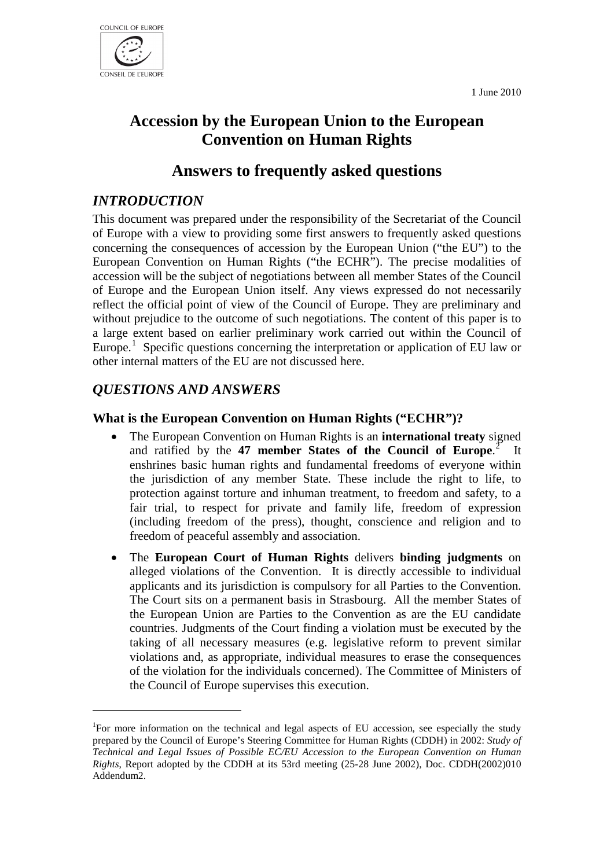1 June 2010



# **Accession by the European Union to the European Convention on Human Rights**

# **Answers to frequently asked questions**

# *INTRODUCTION*

This document was prepared under the responsibility of the Secretariat of the Council of Europe with a view to providing some first answers to frequently asked questions concerning the consequences of accession by the European Union ("the EU") to the European Convention on Human Rights ("the ECHR"). The precise modalities of accession will be the subject of negotiations between all member States of the Council of Europe and the European Union itself. Any views expressed do not necessarily reflect the official point of view of the Council of Europe. They are preliminary and without prejudice to the outcome of such negotiations. The content of this paper is to a large extent based on earlier preliminary work carried out within the Council of Europe.<sup>[1](#page-0-0)</sup> Specific questions concerning the interpretation or application of EU law or other internal matters of the EU are not discussed here.

# *QUESTIONS AND ANSWERS*

# **What is the European Convention on Human Rights ("ECHR")?**

- The European Convention on Human Rights is an **international treaty** signed and ratified by the **47 member States of the Council of Europe**. [2](#page-0-1) It enshrines basic human rights and fundamental freedoms of everyone within the jurisdiction of any member State. These include the right to life, to protection against torture and inhuman treatment, to freedom and safety, to a fair trial, to respect for private and family life, freedom of expression (including freedom of the press), thought, conscience and religion and to freedom of peaceful assembly and association.
- The **European Court of Human Rights** delivers **binding judgments** on alleged violations of the Convention. It is directly accessible to individual applicants and its jurisdiction is compulsory for all Parties to the Convention. The Court sits on a permanent basis in Strasbourg. All the member States of the European Union are Parties to the Convention as are the EU candidate countries. Judgments of the Court finding a violation must be executed by the taking of all necessary measures (e.g. legislative reform to prevent similar violations and, as appropriate, individual measures to erase the consequences of the violation for the individuals concerned). The Committee of Ministers of the Council of Europe supervises this execution.

<span id="page-0-1"></span><span id="page-0-0"></span><sup>&</sup>lt;sup>1</sup>For more information on the technical and legal aspects of EU accession, see especially the study prepared by the Council of Europe's Steering Committee for Human Rights (CDDH) in 2002: *Study of Technical and Legal Issues of Possible EC/EU Accession to the European Convention on Human Rights*, Report adopted by the CDDH at its 53rd meeting (25-28 June 2002), Doc. CDDH(2002)010 Addendum2.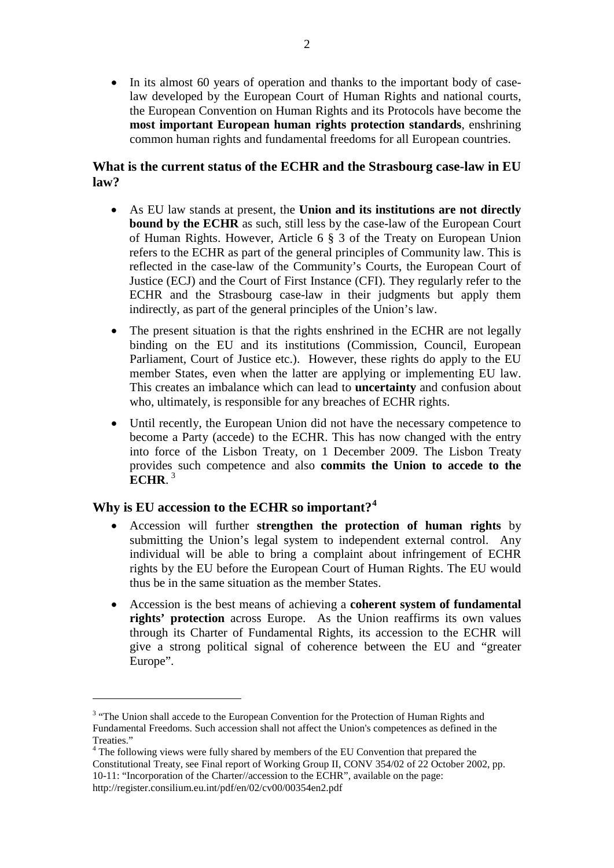• In its almost 60 years of operation and thanks to the important body of caselaw developed by the European Court of Human Rights and national courts, the European Convention on Human Rights and its Protocols have become the **most important European human rights protection standards**, enshrining common human rights and fundamental freedoms for all European countries.

#### **What is the current status of the ECHR and the Strasbourg case-law in EU law?**

- As EU law stands at present, the **Union and its institutions are not directly bound by the ECHR** as such, still less by the case-law of the European Court of Human Rights. However, Article 6 § 3 of the Treaty on European Union refers to the ECHR as part of the general principles of Community law. This is reflected in the case-law of the Community's Courts, the European Court of Justice (ECJ) and the Court of First Instance (CFI). They regularly refer to the ECHR and the Strasbourg case-law in their judgments but apply them indirectly, as part of the general principles of the Union's law.
- The present situation is that the rights enshrined in the ECHR are not legally binding on the EU and its institutions (Commission, Council, European Parliament, Court of Justice etc.). However, these rights do apply to the EU member States, even when the latter are applying or implementing EU law. This creates an imbalance which can lead to **uncertainty** and confusion about who, ultimately, is responsible for any breaches of ECHR rights.
- Until recently, the European Union did not have the necessary competence to become a Party (accede) to the ECHR. This has now changed with the entry into force of the Lisbon Treaty, on 1 December 2009. The Lisbon Treaty provides such competence and also **commits the Union to accede to the ECHR.**<sup>[3](#page-1-0)</sup>

# **Why is EU accession to the ECHR so important?[4](#page-1-1)**

- Accession will further **strengthen the protection of human rights** by submitting the Union's legal system to independent external control. Any individual will be able to bring a complaint about infringement of ECHR rights by the EU before the European Court of Human Rights. The EU would thus be in the same situation as the member States.
- Accession is the best means of achieving a **coherent system of fundamental rights' protection** across Europe. As the Union reaffirms its own values through its Charter of Fundamental Rights, its accession to the ECHR will give a strong political signal of coherence between the EU and "greater Europe".

<span id="page-1-0"></span><sup>&</sup>lt;sup>3</sup> "The Union shall accede to the European Convention for the Protection of Human Rights and Fundamental Freedoms. Such accession shall not affect the Union's competences as defined in the

<span id="page-1-1"></span><sup>&</sup>lt;sup>4</sup> The following views were fully shared by members of the EU Convention that prepared the Constitutional Treaty, see Final report of Working Group II, CONV 354/02 of 22 October 2002, pp. 10-11: "Incorporation of the Charter//accession to the ECHR", available on the page: http://register.consilium.eu.int/pdf/en/02/cv00/00354en2.pdf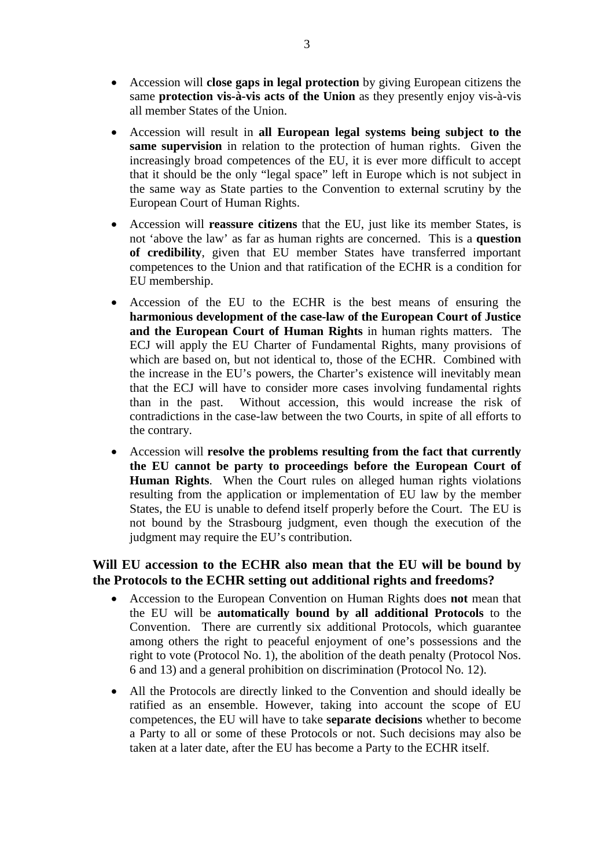- Accession will **close gaps in legal protection** by giving European citizens the same **protection vis-à-vis acts of the Union** as they presently enjoy vis-à-vis all member States of the Union.
- Accession will result in **all European legal systems being subject to the same supervision** in relation to the protection of human rights. Given the increasingly broad competences of the EU, it is ever more difficult to accept that it should be the only "legal space" left in Europe which is not subject in the same way as State parties to the Convention to external scrutiny by the European Court of Human Rights.
- Accession will **reassure citizens** that the EU, just like its member States, is not 'above the law' as far as human rights are concerned. This is a **question of credibility**, given that EU member States have transferred important competences to the Union and that ratification of the ECHR is a condition for EU membership.
- Accession of the EU to the ECHR is the best means of ensuring the **harmonious development of the case-law of the European Court of Justice and the European Court of Human Rights** in human rights matters. The ECJ will apply the EU Charter of Fundamental Rights, many provisions of which are based on, but not identical to, those of the ECHR. Combined with the increase in the EU's powers, the Charter's existence will inevitably mean that the ECJ will have to consider more cases involving fundamental rights than in the past. Without accession, this would increase the risk of contradictions in the case-law between the two Courts, in spite of all efforts to the contrary.
- Accession will **resolve the problems resulting from the fact that currently the EU cannot be party to proceedings before the European Court of Human Rights**. When the Court rules on alleged human rights violations resulting from the application or implementation of EU law by the member States, the EU is unable to defend itself properly before the Court. The EU is not bound by the Strasbourg judgment, even though the execution of the judgment may require the EU's contribution.

### **Will EU accession to the ECHR also mean that the EU will be bound by the Protocols to the ECHR setting out additional rights and freedoms?**

- Accession to the European Convention on Human Rights does **not** mean that the EU will be **automatically bound by all additional Protocols** to the Convention. There are currently six additional Protocols, which guarantee among others the right to peaceful enjoyment of one's possessions and the right to vote (Protocol No. 1), the abolition of the death penalty (Protocol Nos. 6 and 13) and a general prohibition on discrimination (Protocol No. 12).
- All the Protocols are directly linked to the Convention and should ideally be ratified as an ensemble. However, taking into account the scope of EU competences, the EU will have to take **separate decisions** whether to become a Party to all or some of these Protocols or not. Such decisions may also be taken at a later date, after the EU has become a Party to the ECHR itself.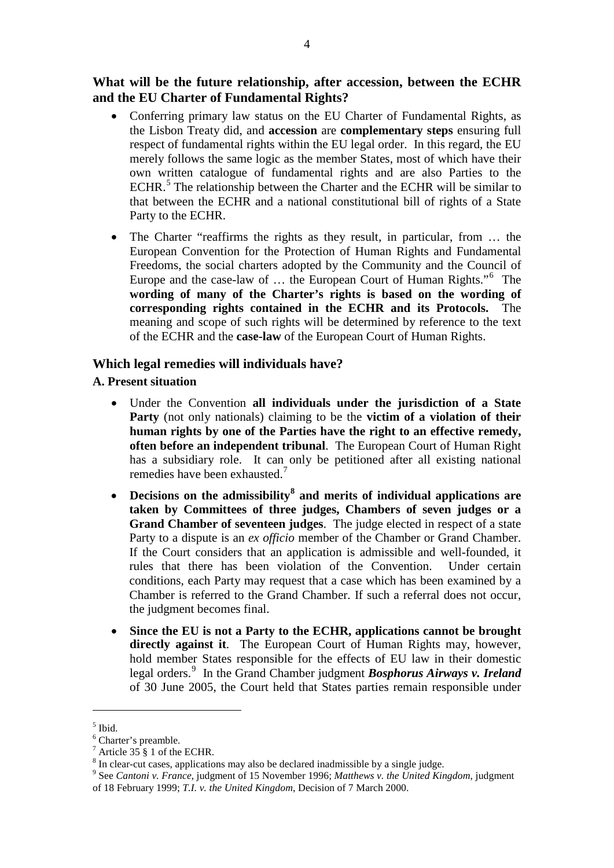**What will be the future relationship, after accession, between the ECHR and the EU Charter of Fundamental Rights?**

- Conferring primary law status on the EU Charter of Fundamental Rights, as the Lisbon Treaty did, and **accession** are **complementary steps** ensuring full respect of fundamental rights within the EU legal order. In this regard, the EU merely follows the same logic as the member States, most of which have their own written catalogue of fundamental rights and are also Parties to the ECHR.<sup>[5](#page-3-0)</sup> The relationship between the Charter and the ECHR will be similar to that between the ECHR and a national constitutional bill of rights of a State Party to the ECHR.
- The Charter "reaffirms the rights as they result, in particular, from ... the European Convention for the Protection of Human Rights and Fundamental Freedoms, the social charters adopted by the Community and the Council of Europe and the case-law of … the European Court of Human Rights."[6](#page-3-1) The **wording of many of the Charter's rights is based on the wording of corresponding rights contained in the ECHR and its Protocols.** The meaning and scope of such rights will be determined by reference to the text of the ECHR and the **case-law** of the European Court of Human Rights.

#### **Which legal remedies will individuals have?**

#### **A. Present situation**

- Under the Convention **all individuals under the jurisdiction of a State Party** (not only nationals) claiming to be the **victim of a violation of their human rights by one of the Parties have the right to an effective remedy, often before an independent tribunal**. The European Court of Human Right has a subsidiary role. It can only be petitioned after all existing national remedies have been exhausted.<sup>[7](#page-3-2)</sup>
- **Decisions on the admissibility[8](#page-3-3) and merits of individual applications are taken by Committees of three judges, Chambers of seven judges or a Grand Chamber of seventeen judges**. The judge elected in respect of a state Party to a dispute is an *ex officio* member of the Chamber or Grand Chamber. If the Court considers that an application is admissible and well-founded, it rules that there has been violation of the Convention. Under certain conditions, each Party may request that a case which has been examined by a Chamber is referred to the Grand Chamber. If such a referral does not occur, the judgment becomes final.
- **Since the EU is not a Party to the ECHR, applications cannot be brought directly against it**. The European Court of Human Rights may, however, hold member States responsible for the effects of EU law in their domestic legal orders.[9](#page-3-4) In the Grand Chamber judgment *Bosphorus Airways v. Ireland* of 30 June 2005, the Court held that States parties remain responsible under

<span id="page-3-0"></span> $^5$  Ibid.

<sup>6</sup> Charter's preamble.

<span id="page-3-4"></span><span id="page-3-3"></span>

<span id="page-3-2"></span><span id="page-3-1"></span><sup>&</sup>lt;sup>7</sup> Article 35 § 1 of the ECHR.<br><sup>8</sup> In clear-cut cases, applications may also be declared inadmissible by a single judge.<br><sup>9</sup> See *Cantoni v. France*, judgment of 15 November 1996; *Matthews v. the United Kingdom*, judgme of 18 February 1999; *T.I. v. the United Kingdom*, Decision of 7 March 2000.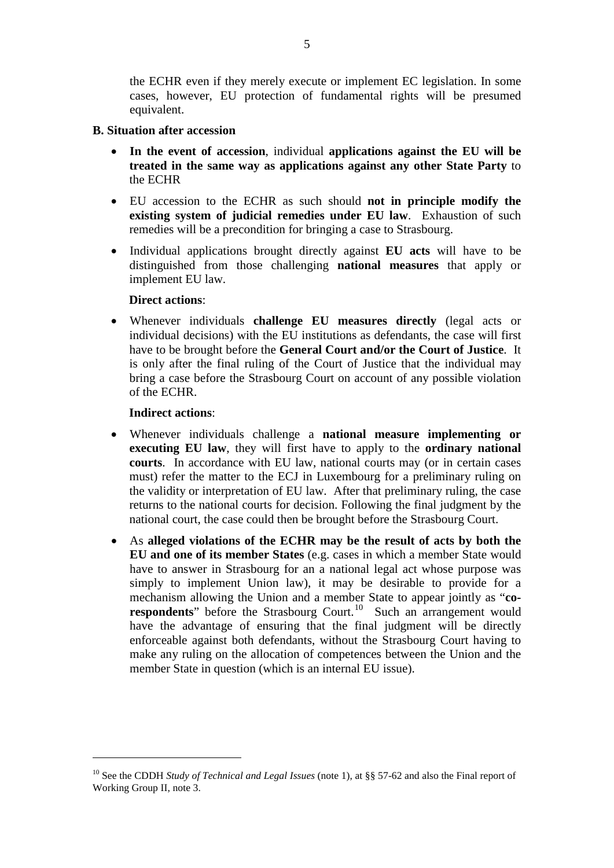the ECHR even if they merely execute or implement EC legislation. In some cases, however, EU protection of fundamental rights will be presumed equivalent.

#### **B. Situation after accession**

- **In the event of accession**, individual **applications against the EU will be treated in the same way as applications against any other State Party** to the ECHR
- EU accession to the ECHR as such should **not in principle modify the existing system of judicial remedies under EU law**. Exhaustion of such remedies will be a precondition for bringing a case to Strasbourg.
- Individual applications brought directly against **EU acts** will have to be distinguished from those challenging **national measures** that apply or implement EU law.

#### **Direct actions**:

• Whenever individuals **challenge EU measures directly** (legal acts or individual decisions) with the EU institutions as defendants, the case will first have to be brought before the **General Court and/or the Court of Justice**. It is only after the final ruling of the Court of Justice that the individual may bring a case before the Strasbourg Court on account of any possible violation of the ECHR.

#### **Indirect actions**:

- Whenever individuals challenge a **national measure implementing or executing EU law**, they will first have to apply to the **ordinary national courts**. In accordance with EU law, national courts may (or in certain cases must) refer the matter to the ECJ in Luxembourg for a preliminary ruling on the validity or interpretation of EU law. After that preliminary ruling, the case returns to the national courts for decision. Following the final judgment by the national court, the case could then be brought before the Strasbourg Court.
- As **alleged violations of the ECHR may be the result of acts by both the EU and one of its member States** (e.g. cases in which a member State would have to answer in Strasbourg for an a national legal act whose purpose was simply to implement Union law), it may be desirable to provide for a mechanism allowing the Union and a member State to appear jointly as "**co-**respondents" before the Strasbourg Court.<sup>[10](#page-4-0)</sup> Such an arrangement would have the advantage of ensuring that the final judgment will be directly enforceable against both defendants, without the Strasbourg Court having to make any ruling on the allocation of competences between the Union and the member State in question (which is an internal EU issue).

<span id="page-4-0"></span><sup>10</sup> See the CDDH *Study of Technical and Legal Issues* (note 1), at §§ 57-62 and also the Final report of Working Group II, note 3.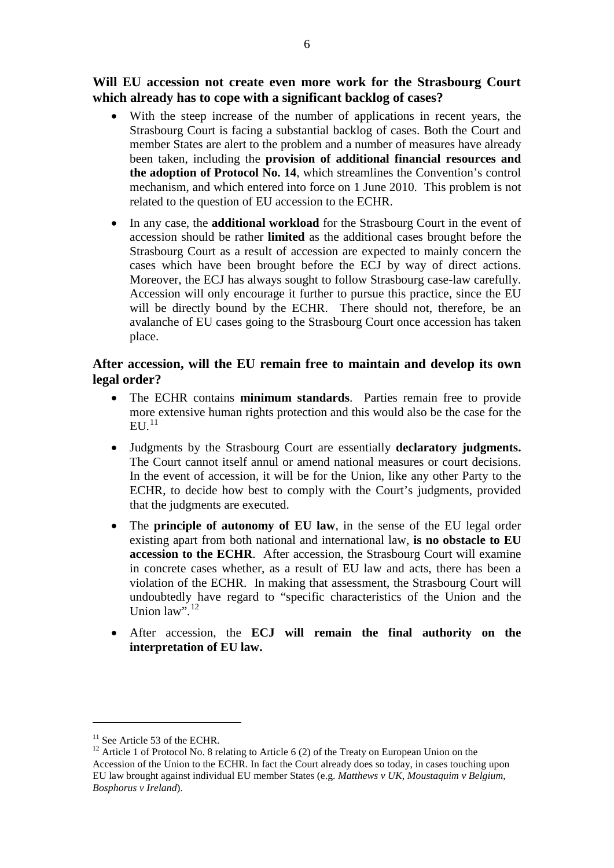**Will EU accession not create even more work for the Strasbourg Court which already has to cope with a significant backlog of cases?**

- With the steep increase of the number of applications in recent years, the Strasbourg Court is facing a substantial backlog of cases. Both the Court and member States are alert to the problem and a number of measures have already been taken, including the **provision of additional financial resources and the adoption of Protocol No. 14**, which streamlines the Convention's control mechanism, and which entered into force on 1 June 2010. This problem is not related to the question of EU accession to the ECHR.
- In any case, the **additional workload** for the Strasbourg Court in the event of accession should be rather **limited** as the additional cases brought before the Strasbourg Court as a result of accession are expected to mainly concern the cases which have been brought before the ECJ by way of direct actions. Moreover, the ECJ has always sought to follow Strasbourg case-law carefully. Accession will only encourage it further to pursue this practice, since the EU will be directly bound by the ECHR. There should not, therefore, be an avalanche of EU cases going to the Strasbourg Court once accession has taken place.

#### **After accession, will the EU remain free to maintain and develop its own legal order?**

- The ECHR contains **minimum standards**. Parties remain free to provide more extensive human rights protection and this would also be the case for the  $\text{EU.}^{11}$
- Judgments by the Strasbourg Court are essentially **declaratory judgments.**  The Court cannot itself annul or amend national measures or court decisions. In the event of accession, it will be for the Union, like any other Party to the ECHR, to decide how best to comply with the Court's judgments, provided that the judgments are executed.
- The **principle of autonomy of EU law**, in the sense of the EU legal order existing apart from both national and international law, **is no obstacle to EU accession to the ECHR**. After accession, the Strasbourg Court will examine in concrete cases whether, as a result of EU law and acts, there has been a violation of the ECHR. In making that assessment, the Strasbourg Court will undoubtedly have regard to "specific characteristics of the Union and the Union law".<sup>[12](#page-5-1)</sup>
- After accession, the **ECJ will remain the final authority on the interpretation of EU law.**

<span id="page-5-1"></span><span id="page-5-0"></span><sup>&</sup>lt;sup>11</sup> See Article 53 of the ECHR.<br><sup>12</sup> Article 1 of Protocol No. 8 relating to Article 6 (2) of the Treaty on European Union on the Accession of the Union to the ECHR. In fact the Court already does so today, in cases touching upon EU law brought against individual EU member States (e.g. *Matthews v UK*, *Moustaquim v Belgium*, *Bosphorus v Ireland*).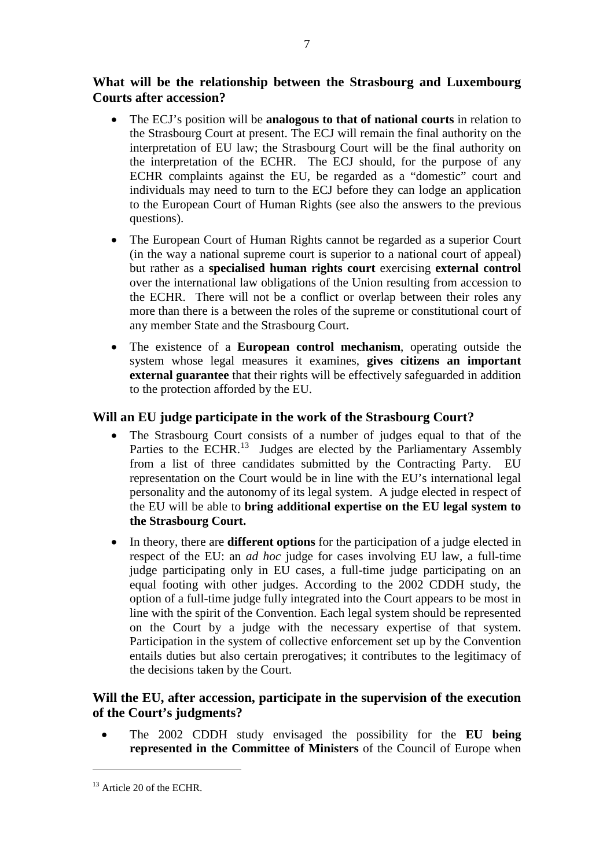**What will be the relationship between the Strasbourg and Luxembourg Courts after accession?**

7

- The ECJ's position will be **analogous to that of national courts** in relation to the Strasbourg Court at present. The ECJ will remain the final authority on the interpretation of EU law; the Strasbourg Court will be the final authority on the interpretation of the ECHR. The ECJ should, for the purpose of any ECHR complaints against the EU, be regarded as a "domestic" court and individuals may need to turn to the ECJ before they can lodge an application to the European Court of Human Rights (see also the answers to the previous questions).
- The European Court of Human Rights cannot be regarded as a superior Court (in the way a national supreme court is superior to a national court of appeal) but rather as a **specialised human rights court** exercising **external control**  over the international law obligations of the Union resulting from accession to the ECHR. There will not be a conflict or overlap between their roles any more than there is a between the roles of the supreme or constitutional court of any member State and the Strasbourg Court.
- The existence of a **European control mechanism**, operating outside the system whose legal measures it examines, **gives citizens an important external guarantee** that their rights will be effectively safeguarded in addition to the protection afforded by the EU.

# **Will an EU judge participate in the work of the Strasbourg Court?**

- The Strasbourg Court consists of a number of judges equal to that of the Parties to the ECHR.<sup>[13](#page-6-0)</sup> Judges are elected by the Parliamentary Assembly from a list of three candidates submitted by the Contracting Party. EU representation on the Court would be in line with the EU's international legal personality and the autonomy of its legal system. A judge elected in respect of the EU will be able to **bring additional expertise on the EU legal system to the Strasbourg Court.**
- In theory, there are **different options** for the participation of a judge elected in respect of the EU: an *ad hoc* judge for cases involving EU law, a full-time judge participating only in EU cases, a full-time judge participating on an equal footing with other judges. According to the 2002 CDDH study, the option of a full-time judge fully integrated into the Court appears to be most in line with the spirit of the Convention. Each legal system should be represented on the Court by a judge with the necessary expertise of that system. Participation in the system of collective enforcement set up by the Convention entails duties but also certain prerogatives; it contributes to the legitimacy of the decisions taken by the Court.

# **Will the EU, after accession, participate in the supervision of the execution of the Court's judgments?**

• The 2002 CDDH study envisaged the possibility for the **EU being represented in the Committee of Ministers** of the Council of Europe when

<span id="page-6-0"></span><sup>&</sup>lt;sup>13</sup> Article 20 of the ECHR.